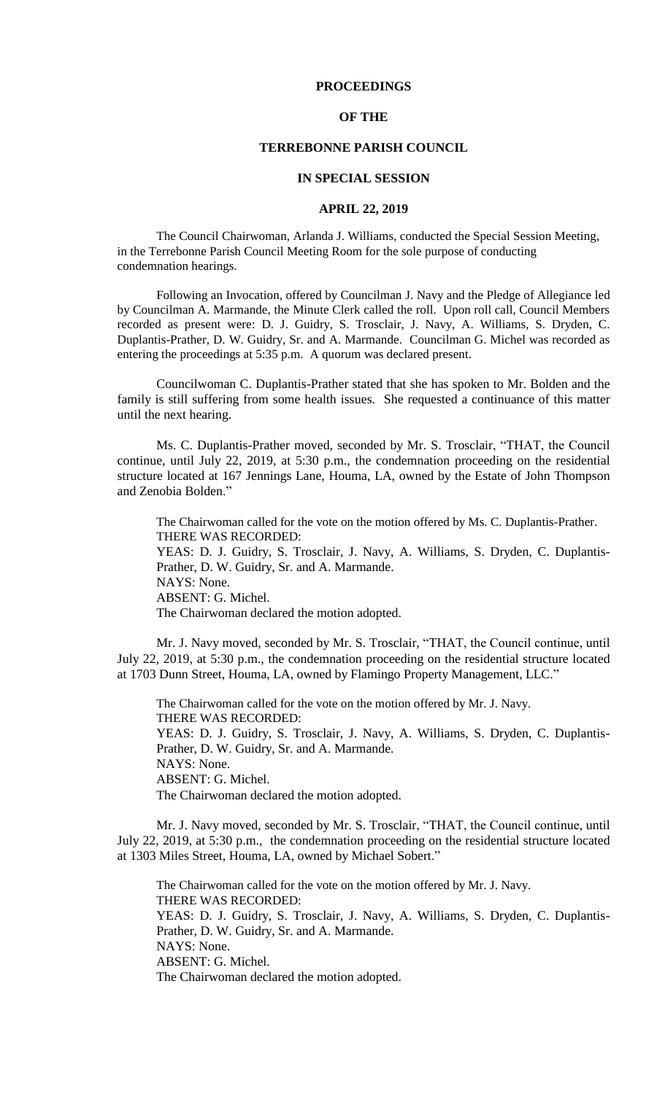## **PROCEEDINGS**

## **OF THE**

## **TERREBONNE PARISH COUNCIL**

#### **IN SPECIAL SESSION**

#### **APRIL 22, 2019**

The Council Chairwoman, Arlanda J. Williams, conducted the Special Session Meeting, in the Terrebonne Parish Council Meeting Room for the sole purpose of conducting condemnation hearings.

Following an Invocation, offered by Councilman J. Navy and the Pledge of Allegiance led by Councilman A. Marmande, the Minute Clerk called the roll. Upon roll call, Council Members recorded as present were: D. J. Guidry, S. Trosclair, J. Navy, A. Williams, S. Dryden, C. Duplantis-Prather, D. W. Guidry, Sr. and A. Marmande. Councilman G. Michel was recorded as entering the proceedings at 5:35 p.m. A quorum was declared present.

Councilwoman C. Duplantis-Prather stated that she has spoken to Mr. Bolden and the family is still suffering from some health issues. She requested a continuance of this matter until the next hearing.

Ms. C. Duplantis-Prather moved, seconded by Mr. S. Trosclair, "THAT, the Council continue, until July 22, 2019, at 5:30 p.m., the condemnation proceeding on the residential structure located at 167 Jennings Lane, Houma, LA, owned by the Estate of John Thompson and Zenobia Bolden."

The Chairwoman called for the vote on the motion offered by Ms. C. Duplantis-Prather. THERE WAS RECORDED: YEAS: D. J. Guidry, S. Trosclair, J. Navy, A. Williams, S. Dryden, C. Duplantis-Prather, D. W. Guidry, Sr. and A. Marmande. NAYS: None. ABSENT: G. Michel. The Chairwoman declared the motion adopted.

Mr. J. Navy moved, seconded by Mr. S. Trosclair, "THAT, the Council continue, until July 22, 2019, at 5:30 p.m., the condemnation proceeding on the residential structure located at 1703 Dunn Street, Houma, LA, owned by Flamingo Property Management, LLC."

The Chairwoman called for the vote on the motion offered by Mr. J. Navy. THERE WAS RECORDED: YEAS: D. J. Guidry, S. Trosclair, J. Navy, A. Williams, S. Dryden, C. Duplantis-Prather, D. W. Guidry, Sr. and A. Marmande. NAYS: None. ABSENT: G. Michel. The Chairwoman declared the motion adopted.

Mr. J. Navy moved, seconded by Mr. S. Trosclair, "THAT, the Council continue, until July 22, 2019, at 5:30 p.m., the condemnation proceeding on the residential structure located at 1303 Miles Street, Houma, LA, owned by Michael Sobert."

The Chairwoman called for the vote on the motion offered by Mr. J. Navy. THERE WAS RECORDED: YEAS: D. J. Guidry, S. Trosclair, J. Navy, A. Williams, S. Dryden, C. Duplantis-Prather, D. W. Guidry, Sr. and A. Marmande. NAYS: None. ABSENT: G. Michel. The Chairwoman declared the motion adopted.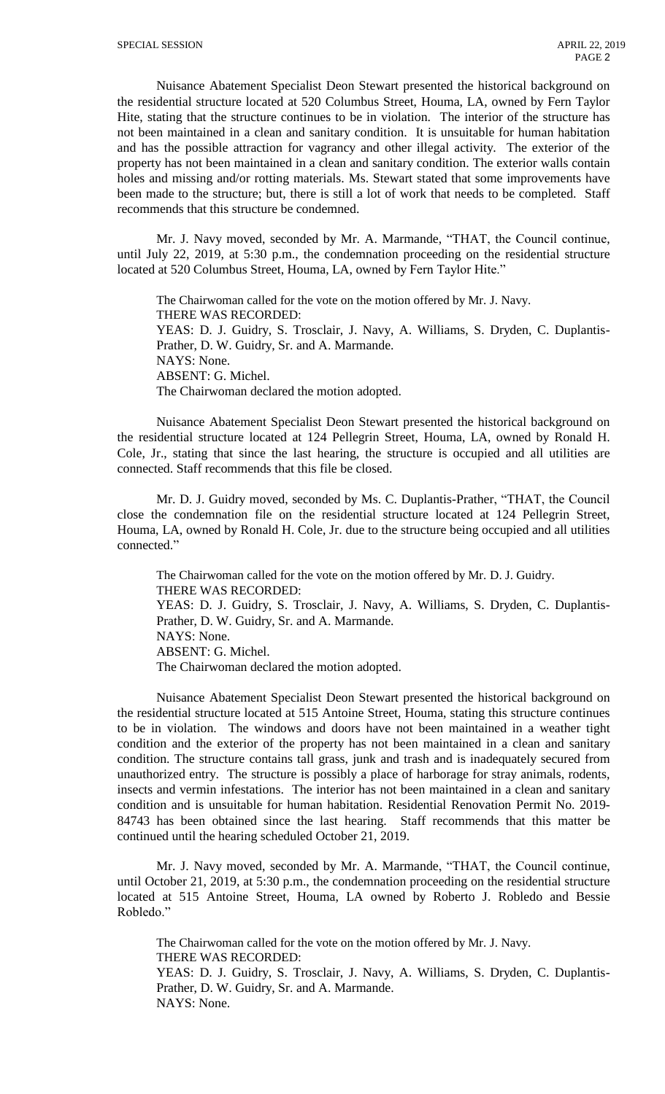Nuisance Abatement Specialist Deon Stewart presented the historical background on the residential structure located at 520 Columbus Street, Houma, LA, owned by Fern Taylor Hite, stating that the structure continues to be in violation. The interior of the structure has not been maintained in a clean and sanitary condition. It is unsuitable for human habitation and has the possible attraction for vagrancy and other illegal activity. The exterior of the property has not been maintained in a clean and sanitary condition. The exterior walls contain holes and missing and/or rotting materials. Ms. Stewart stated that some improvements have been made to the structure; but, there is still a lot of work that needs to be completed. Staff recommends that this structure be condemned.

Mr. J. Navy moved, seconded by Mr. A. Marmande, "THAT, the Council continue, until July 22, 2019, at 5:30 p.m., the condemnation proceeding on the residential structure located at 520 Columbus Street, Houma, LA, owned by Fern Taylor Hite."

The Chairwoman called for the vote on the motion offered by Mr. J. Navy. THERE WAS RECORDED: YEAS: D. J. Guidry, S. Trosclair, J. Navy, A. Williams, S. Dryden, C. Duplantis-Prather, D. W. Guidry, Sr. and A. Marmande. NAYS: None. ABSENT: G. Michel. The Chairwoman declared the motion adopted.

Nuisance Abatement Specialist Deon Stewart presented the historical background on the residential structure located at 124 Pellegrin Street, Houma, LA, owned by Ronald H. Cole, Jr., stating that since the last hearing, the structure is occupied and all utilities are connected. Staff recommends that this file be closed.

Mr. D. J. Guidry moved, seconded by Ms. C. Duplantis-Prather, "THAT, the Council close the condemnation file on the residential structure located at 124 Pellegrin Street, Houma, LA, owned by Ronald H. Cole, Jr. due to the structure being occupied and all utilities connected."

The Chairwoman called for the vote on the motion offered by Mr. D. J. Guidry. THERE WAS RECORDED: YEAS: D. J. Guidry, S. Trosclair, J. Navy, A. Williams, S. Dryden, C. Duplantis-Prather, D. W. Guidry, Sr. and A. Marmande. NAYS: None. ABSENT: G. Michel. The Chairwoman declared the motion adopted.

Nuisance Abatement Specialist Deon Stewart presented the historical background on the residential structure located at 515 Antoine Street, Houma, stating this structure continues to be in violation. The windows and doors have not been maintained in a weather tight condition and the exterior of the property has not been maintained in a clean and sanitary condition. The structure contains tall grass, junk and trash and is inadequately secured from unauthorized entry. The structure is possibly a place of harborage for stray animals, rodents, insects and vermin infestations. The interior has not been maintained in a clean and sanitary condition and is unsuitable for human habitation. Residential Renovation Permit No. 2019- 84743 has been obtained since the last hearing. Staff recommends that this matter be continued until the hearing scheduled October 21, 2019.

Mr. J. Navy moved, seconded by Mr. A. Marmande, "THAT, the Council continue, until October 21, 2019, at 5:30 p.m., the condemnation proceeding on the residential structure located at 515 Antoine Street, Houma, LA owned by Roberto J. Robledo and Bessie Robledo."

The Chairwoman called for the vote on the motion offered by Mr. J. Navy. THERE WAS RECORDED: YEAS: D. J. Guidry, S. Trosclair, J. Navy, A. Williams, S. Dryden, C. Duplantis-Prather, D. W. Guidry, Sr. and A. Marmande. NAYS: None.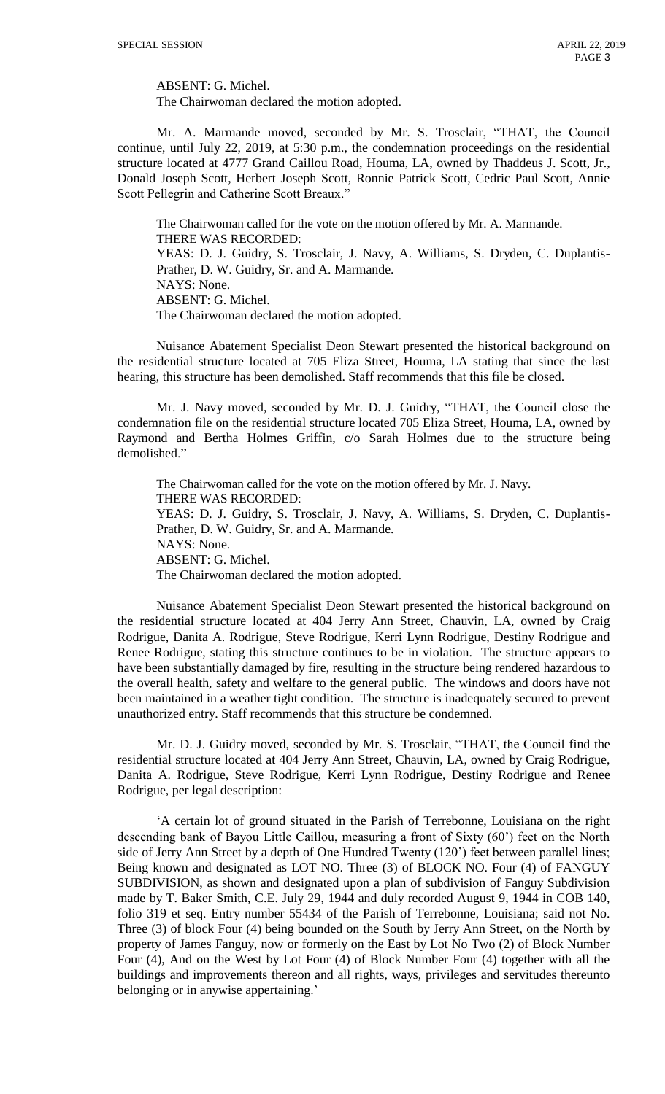ABSENT: G. Michel.

The Chairwoman declared the motion adopted.

Mr. A. Marmande moved, seconded by Mr. S. Trosclair, "THAT, the Council continue, until July 22, 2019, at 5:30 p.m., the condemnation proceedings on the residential structure located at 4777 Grand Caillou Road, Houma, LA, owned by Thaddeus J. Scott, Jr., Donald Joseph Scott, Herbert Joseph Scott, Ronnie Patrick Scott, Cedric Paul Scott, Annie Scott Pellegrin and Catherine Scott Breaux."

The Chairwoman called for the vote on the motion offered by Mr. A. Marmande. THERE WAS RECORDED: YEAS: D. J. Guidry, S. Trosclair, J. Navy, A. Williams, S. Dryden, C. Duplantis-Prather, D. W. Guidry, Sr. and A. Marmande. NAYS: None. ABSENT: G. Michel. The Chairwoman declared the motion adopted.

Nuisance Abatement Specialist Deon Stewart presented the historical background on the residential structure located at 705 Eliza Street, Houma, LA stating that since the last hearing, this structure has been demolished. Staff recommends that this file be closed.

Mr. J. Navy moved, seconded by Mr. D. J. Guidry, "THAT, the Council close the condemnation file on the residential structure located 705 Eliza Street, Houma, LA, owned by Raymond and Bertha Holmes Griffin, c/o Sarah Holmes due to the structure being demolished."

The Chairwoman called for the vote on the motion offered by Mr. J. Navy. THERE WAS RECORDED: YEAS: D. J. Guidry, S. Trosclair, J. Navy, A. Williams, S. Dryden, C. Duplantis-Prather, D. W. Guidry, Sr. and A. Marmande. NAYS: None. ABSENT: G. Michel. The Chairwoman declared the motion adopted.

Nuisance Abatement Specialist Deon Stewart presented the historical background on the residential structure located at 404 Jerry Ann Street, Chauvin, LA, owned by Craig Rodrigue, Danita A. Rodrigue, Steve Rodrigue, Kerri Lynn Rodrigue, Destiny Rodrigue and Renee Rodrigue, stating this structure continues to be in violation. The structure appears to have been substantially damaged by fire, resulting in the structure being rendered hazardous to the overall health, safety and welfare to the general public. The windows and doors have not been maintained in a weather tight condition. The structure is inadequately secured to prevent unauthorized entry. Staff recommends that this structure be condemned.

Mr. D. J. Guidry moved, seconded by Mr. S. Trosclair, "THAT, the Council find the residential structure located at 404 Jerry Ann Street, Chauvin, LA, owned by Craig Rodrigue, Danita A. Rodrigue, Steve Rodrigue, Kerri Lynn Rodrigue, Destiny Rodrigue and Renee Rodrigue, per legal description:

'A certain lot of ground situated in the Parish of Terrebonne, Louisiana on the right descending bank of Bayou Little Caillou, measuring a front of Sixty (60') feet on the North side of Jerry Ann Street by a depth of One Hundred Twenty (120') feet between parallel lines; Being known and designated as LOT NO. Three (3) of BLOCK NO. Four (4) of FANGUY SUBDIVISION, as shown and designated upon a plan of subdivision of Fanguy Subdivision made by T. Baker Smith, C.E. July 29, 1944 and duly recorded August 9, 1944 in COB 140, folio 319 et seq. Entry number 55434 of the Parish of Terrebonne, Louisiana; said not No. Three (3) of block Four (4) being bounded on the South by Jerry Ann Street, on the North by property of James Fanguy, now or formerly on the East by Lot No Two (2) of Block Number Four (4), And on the West by Lot Four (4) of Block Number Four (4) together with all the buildings and improvements thereon and all rights, ways, privileges and servitudes thereunto belonging or in anywise appertaining.'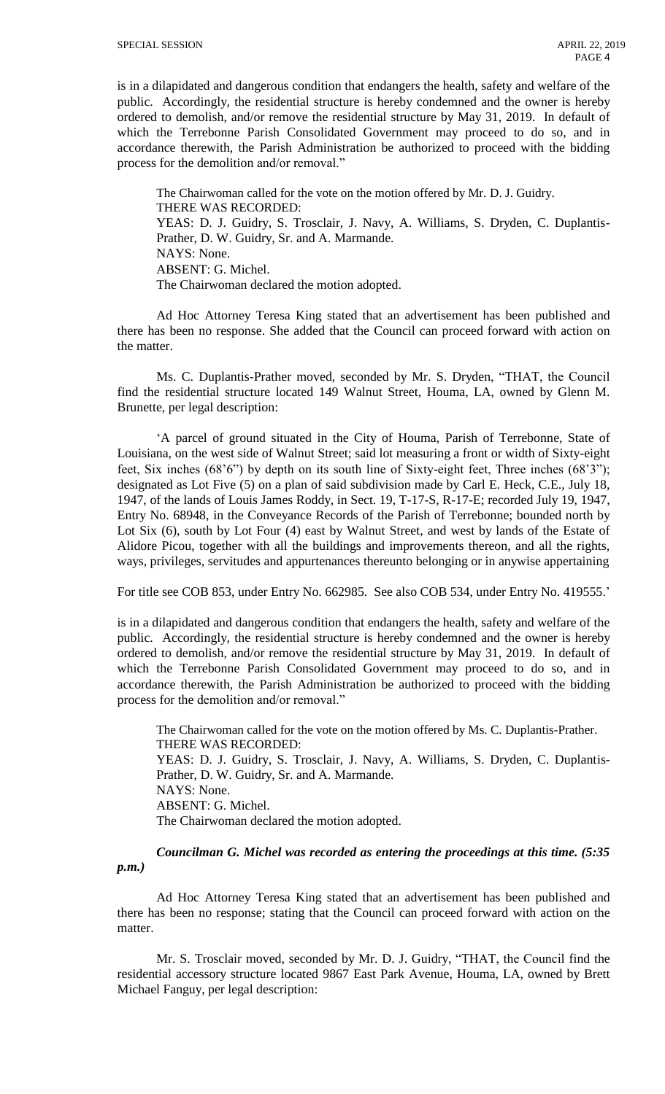is in a dilapidated and dangerous condition that endangers the health, safety and welfare of the public. Accordingly, the residential structure is hereby condemned and the owner is hereby ordered to demolish, and/or remove the residential structure by May 31, 2019. In default of which the Terrebonne Parish Consolidated Government may proceed to do so, and in accordance therewith, the Parish Administration be authorized to proceed with the bidding process for the demolition and/or removal."

The Chairwoman called for the vote on the motion offered by Mr. D. J. Guidry. THERE WAS RECORDED: YEAS: D. J. Guidry, S. Trosclair, J. Navy, A. Williams, S. Dryden, C. Duplantis-Prather, D. W. Guidry, Sr. and A. Marmande. NAYS: None. ABSENT: G. Michel. The Chairwoman declared the motion adopted.

Ad Hoc Attorney Teresa King stated that an advertisement has been published and there has been no response. She added that the Council can proceed forward with action on the matter.

Ms. C. Duplantis-Prather moved, seconded by Mr. S. Dryden, "THAT, the Council find the residential structure located 149 Walnut Street, Houma, LA, owned by Glenn M. Brunette, per legal description:

'A parcel of ground situated in the City of Houma, Parish of Terrebonne, State of Louisiana, on the west side of Walnut Street; said lot measuring a front or width of Sixty-eight feet, Six inches (68'6") by depth on its south line of Sixty-eight feet, Three inches (68'3"); designated as Lot Five (5) on a plan of said subdivision made by Carl E. Heck, C.E., July 18, 1947, of the lands of Louis James Roddy, in Sect. 19, T-17-S, R-17-E; recorded July 19, 1947, Entry No. 68948, in the Conveyance Records of the Parish of Terrebonne; bounded north by Lot Six (6), south by Lot Four (4) east by Walnut Street, and west by lands of the Estate of Alidore Picou, together with all the buildings and improvements thereon, and all the rights, ways, privileges, servitudes and appurtenances thereunto belonging or in anywise appertaining

For title see COB 853, under Entry No. 662985. See also COB 534, under Entry No. 419555.'

is in a dilapidated and dangerous condition that endangers the health, safety and welfare of the public. Accordingly, the residential structure is hereby condemned and the owner is hereby ordered to demolish, and/or remove the residential structure by May 31, 2019. In default of which the Terrebonne Parish Consolidated Government may proceed to do so, and in accordance therewith, the Parish Administration be authorized to proceed with the bidding process for the demolition and/or removal."

The Chairwoman called for the vote on the motion offered by Ms. C. Duplantis-Prather. THERE WAS RECORDED: YEAS: D. J. Guidry, S. Trosclair, J. Navy, A. Williams, S. Dryden, C. Duplantis-Prather, D. W. Guidry, Sr. and A. Marmande. NAYS: None. ABSENT: G. Michel. The Chairwoman declared the motion adopted.

*Councilman G. Michel was recorded as entering the proceedings at this time. (5:35 p.m.)*

Ad Hoc Attorney Teresa King stated that an advertisement has been published and there has been no response; stating that the Council can proceed forward with action on the matter.

Mr. S. Trosclair moved, seconded by Mr. D. J. Guidry, "THAT, the Council find the residential accessory structure located 9867 East Park Avenue, Houma, LA, owned by Brett Michael Fanguy, per legal description: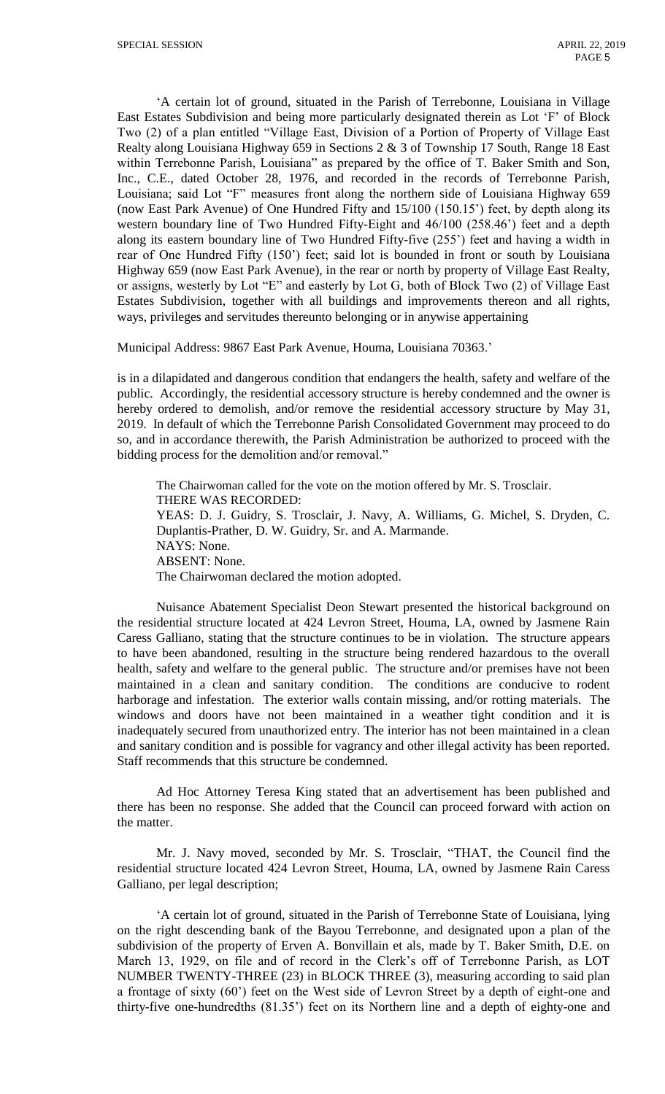'A certain lot of ground, situated in the Parish of Terrebonne, Louisiana in Village East Estates Subdivision and being more particularly designated therein as Lot 'F' of Block Two (2) of a plan entitled "Village East, Division of a Portion of Property of Village East Realty along Louisiana Highway 659 in Sections 2 & 3 of Township 17 South, Range 18 East within Terrebonne Parish, Louisiana" as prepared by the office of T. Baker Smith and Son, Inc., C.E., dated October 28, 1976, and recorded in the records of Terrebonne Parish, Louisiana; said Lot "F" measures front along the northern side of Louisiana Highway 659 (now East Park Avenue) of One Hundred Fifty and 15/100 (150.15') feet, by depth along its western boundary line of Two Hundred Fifty-Eight and 46/100 (258.46') feet and a depth along its eastern boundary line of Two Hundred Fifty-five (255') feet and having a width in rear of One Hundred Fifty (150') feet; said lot is bounded in front or south by Louisiana Highway 659 (now East Park Avenue), in the rear or north by property of Village East Realty, or assigns, westerly by Lot "E" and easterly by Lot G, both of Block Two (2) of Village East Estates Subdivision, together with all buildings and improvements thereon and all rights, ways, privileges and servitudes thereunto belonging or in anywise appertaining

Municipal Address: 9867 East Park Avenue, Houma, Louisiana 70363.'

is in a dilapidated and dangerous condition that endangers the health, safety and welfare of the public. Accordingly, the residential accessory structure is hereby condemned and the owner is hereby ordered to demolish, and/or remove the residential accessory structure by May 31, 2019. In default of which the Terrebonne Parish Consolidated Government may proceed to do so, and in accordance therewith, the Parish Administration be authorized to proceed with the bidding process for the demolition and/or removal."

The Chairwoman called for the vote on the motion offered by Mr. S. Trosclair. THERE WAS RECORDED: YEAS: D. J. Guidry, S. Trosclair, J. Navy, A. Williams, G. Michel, S. Dryden, C. Duplantis-Prather, D. W. Guidry, Sr. and A. Marmande. NAYS: None. ABSENT: None. The Chairwoman declared the motion adopted.

Nuisance Abatement Specialist Deon Stewart presented the historical background on the residential structure located at 424 Levron Street, Houma, LA, owned by Jasmene Rain Caress Galliano, stating that the structure continues to be in violation. The structure appears to have been abandoned, resulting in the structure being rendered hazardous to the overall health, safety and welfare to the general public. The structure and/or premises have not been maintained in a clean and sanitary condition. The conditions are conducive to rodent harborage and infestation. The exterior walls contain missing, and/or rotting materials. The windows and doors have not been maintained in a weather tight condition and it is inadequately secured from unauthorized entry. The interior has not been maintained in a clean and sanitary condition and is possible for vagrancy and other illegal activity has been reported. Staff recommends that this structure be condemned.

Ad Hoc Attorney Teresa King stated that an advertisement has been published and there has been no response. She added that the Council can proceed forward with action on the matter.

Mr. J. Navy moved, seconded by Mr. S. Trosclair, "THAT, the Council find the residential structure located 424 Levron Street, Houma, LA, owned by Jasmene Rain Caress Galliano, per legal description;

'A certain lot of ground, situated in the Parish of Terrebonne State of Louisiana, lying on the right descending bank of the Bayou Terrebonne, and designated upon a plan of the subdivision of the property of Erven A. Bonvillain et als, made by T. Baker Smith, D.E. on March 13, 1929, on file and of record in the Clerk's off of Terrebonne Parish, as LOT NUMBER TWENTY-THREE (23) in BLOCK THREE (3), measuring according to said plan a frontage of sixty (60') feet on the West side of Levron Street by a depth of eight-one and thirty-five one-hundredths (81.35') feet on its Northern line and a depth of eighty-one and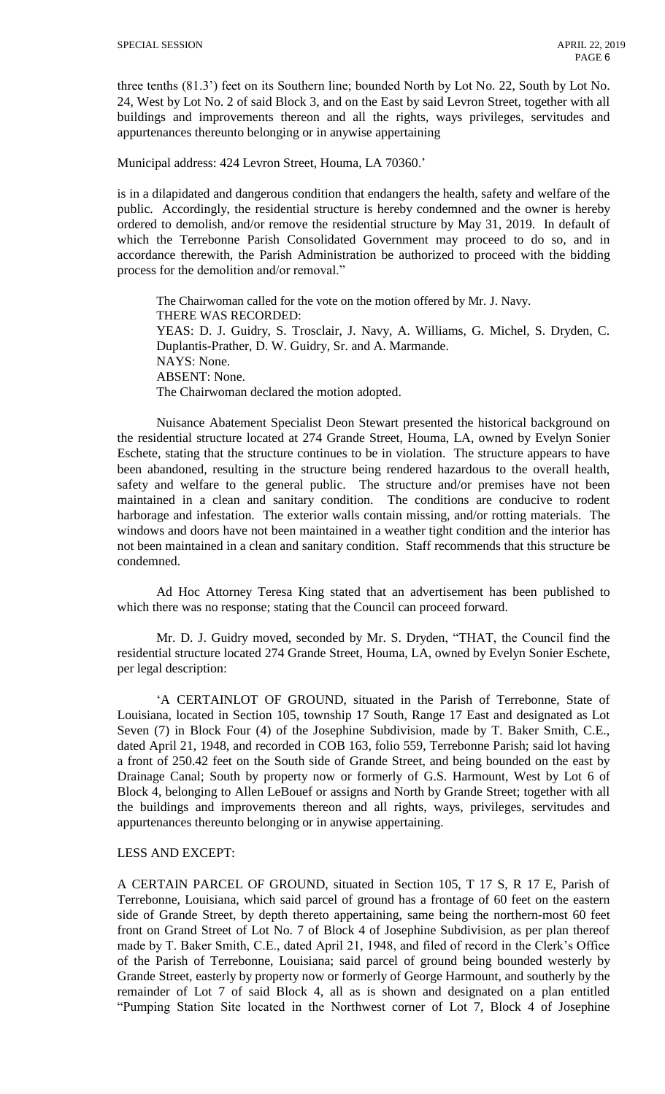three tenths (81.3') feet on its Southern line; bounded North by Lot No. 22, South by Lot No. 24, West by Lot No. 2 of said Block 3, and on the East by said Levron Street, together with all buildings and improvements thereon and all the rights, ways privileges, servitudes and appurtenances thereunto belonging or in anywise appertaining

Municipal address: 424 Levron Street, Houma, LA 70360.'

is in a dilapidated and dangerous condition that endangers the health, safety and welfare of the public. Accordingly, the residential structure is hereby condemned and the owner is hereby ordered to demolish, and/or remove the residential structure by May 31, 2019. In default of which the Terrebonne Parish Consolidated Government may proceed to do so, and in accordance therewith, the Parish Administration be authorized to proceed with the bidding process for the demolition and/or removal."

The Chairwoman called for the vote on the motion offered by Mr. J. Navy. THERE WAS RECORDED: YEAS: D. J. Guidry, S. Trosclair, J. Navy, A. Williams, G. Michel, S. Dryden, C. Duplantis-Prather, D. W. Guidry, Sr. and A. Marmande. NAYS: None. ABSENT: None. The Chairwoman declared the motion adopted.

Nuisance Abatement Specialist Deon Stewart presented the historical background on the residential structure located at 274 Grande Street, Houma, LA, owned by Evelyn Sonier Eschete, stating that the structure continues to be in violation. The structure appears to have been abandoned, resulting in the structure being rendered hazardous to the overall health, safety and welfare to the general public. The structure and/or premises have not been maintained in a clean and sanitary condition. The conditions are conducive to rodent harborage and infestation. The exterior walls contain missing, and/or rotting materials. The windows and doors have not been maintained in a weather tight condition and the interior has not been maintained in a clean and sanitary condition. Staff recommends that this structure be condemned.

Ad Hoc Attorney Teresa King stated that an advertisement has been published to which there was no response; stating that the Council can proceed forward.

Mr. D. J. Guidry moved, seconded by Mr. S. Dryden, "THAT, the Council find the residential structure located 274 Grande Street, Houma, LA, owned by Evelyn Sonier Eschete, per legal description:

'A CERTAINLOT OF GROUND, situated in the Parish of Terrebonne, State of Louisiana, located in Section 105, township 17 South, Range 17 East and designated as Lot Seven (7) in Block Four (4) of the Josephine Subdivision, made by T. Baker Smith, C.E., dated April 21, 1948, and recorded in COB 163, folio 559, Terrebonne Parish; said lot having a front of 250.42 feet on the South side of Grande Street, and being bounded on the east by Drainage Canal; South by property now or formerly of G.S. Harmount, West by Lot 6 of Block 4, belonging to Allen LeBouef or assigns and North by Grande Street; together with all the buildings and improvements thereon and all rights, ways, privileges, servitudes and appurtenances thereunto belonging or in anywise appertaining.

### LESS AND EXCEPT:

A CERTAIN PARCEL OF GROUND, situated in Section 105, T 17 S, R 17 E, Parish of Terrebonne, Louisiana, which said parcel of ground has a frontage of 60 feet on the eastern side of Grande Street, by depth thereto appertaining, same being the northern-most 60 feet front on Grand Street of Lot No. 7 of Block 4 of Josephine Subdivision, as per plan thereof made by T. Baker Smith, C.E., dated April 21, 1948, and filed of record in the Clerk's Office of the Parish of Terrebonne, Louisiana; said parcel of ground being bounded westerly by Grande Street, easterly by property now or formerly of George Harmount, and southerly by the remainder of Lot 7 of said Block 4, all as is shown and designated on a plan entitled "Pumping Station Site located in the Northwest corner of Lot 7, Block 4 of Josephine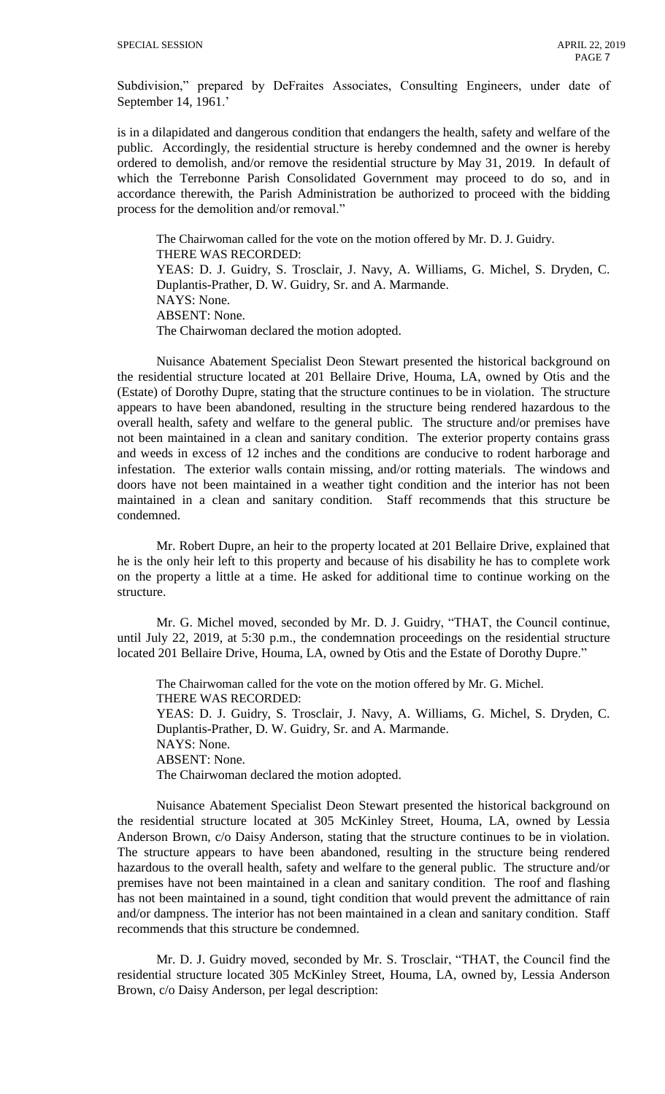Subdivision," prepared by DeFraites Associates, Consulting Engineers, under date of September 14, 1961.'

is in a dilapidated and dangerous condition that endangers the health, safety and welfare of the public. Accordingly, the residential structure is hereby condemned and the owner is hereby ordered to demolish, and/or remove the residential structure by May 31, 2019. In default of which the Terrebonne Parish Consolidated Government may proceed to do so, and in accordance therewith, the Parish Administration be authorized to proceed with the bidding process for the demolition and/or removal."

The Chairwoman called for the vote on the motion offered by Mr. D. J. Guidry. THERE WAS RECORDED: YEAS: D. J. Guidry, S. Trosclair, J. Navy, A. Williams, G. Michel, S. Dryden, C. Duplantis-Prather, D. W. Guidry, Sr. and A. Marmande. NAYS: None. ABSENT: None. The Chairwoman declared the motion adopted.

Nuisance Abatement Specialist Deon Stewart presented the historical background on the residential structure located at 201 Bellaire Drive, Houma, LA, owned by Otis and the (Estate) of Dorothy Dupre, stating that the structure continues to be in violation. The structure appears to have been abandoned, resulting in the structure being rendered hazardous to the overall health, safety and welfare to the general public. The structure and/or premises have not been maintained in a clean and sanitary condition. The exterior property contains grass and weeds in excess of 12 inches and the conditions are conducive to rodent harborage and infestation. The exterior walls contain missing, and/or rotting materials. The windows and doors have not been maintained in a weather tight condition and the interior has not been maintained in a clean and sanitary condition. Staff recommends that this structure be condemned.

Mr. Robert Dupre, an heir to the property located at 201 Bellaire Drive, explained that he is the only heir left to this property and because of his disability he has to complete work on the property a little at a time. He asked for additional time to continue working on the structure.

Mr. G. Michel moved, seconded by Mr. D. J. Guidry, "THAT, the Council continue, until July 22, 2019, at 5:30 p.m., the condemnation proceedings on the residential structure located 201 Bellaire Drive, Houma, LA, owned by Otis and the Estate of Dorothy Dupre."

The Chairwoman called for the vote on the motion offered by Mr. G. Michel. THERE WAS RECORDED: YEAS: D. J. Guidry, S. Trosclair, J. Navy, A. Williams, G. Michel, S. Dryden, C. Duplantis-Prather, D. W. Guidry, Sr. and A. Marmande. NAYS: None. ABSENT: None. The Chairwoman declared the motion adopted.

Nuisance Abatement Specialist Deon Stewart presented the historical background on the residential structure located at 305 McKinley Street, Houma, LA, owned by Lessia Anderson Brown, c/o Daisy Anderson, stating that the structure continues to be in violation. The structure appears to have been abandoned, resulting in the structure being rendered hazardous to the overall health, safety and welfare to the general public. The structure and/or premises have not been maintained in a clean and sanitary condition. The roof and flashing has not been maintained in a sound, tight condition that would prevent the admittance of rain and/or dampness. The interior has not been maintained in a clean and sanitary condition. Staff recommends that this structure be condemned.

Mr. D. J. Guidry moved, seconded by Mr. S. Trosclair, "THAT, the Council find the residential structure located 305 McKinley Street, Houma, LA, owned by, Lessia Anderson Brown, c/o Daisy Anderson, per legal description: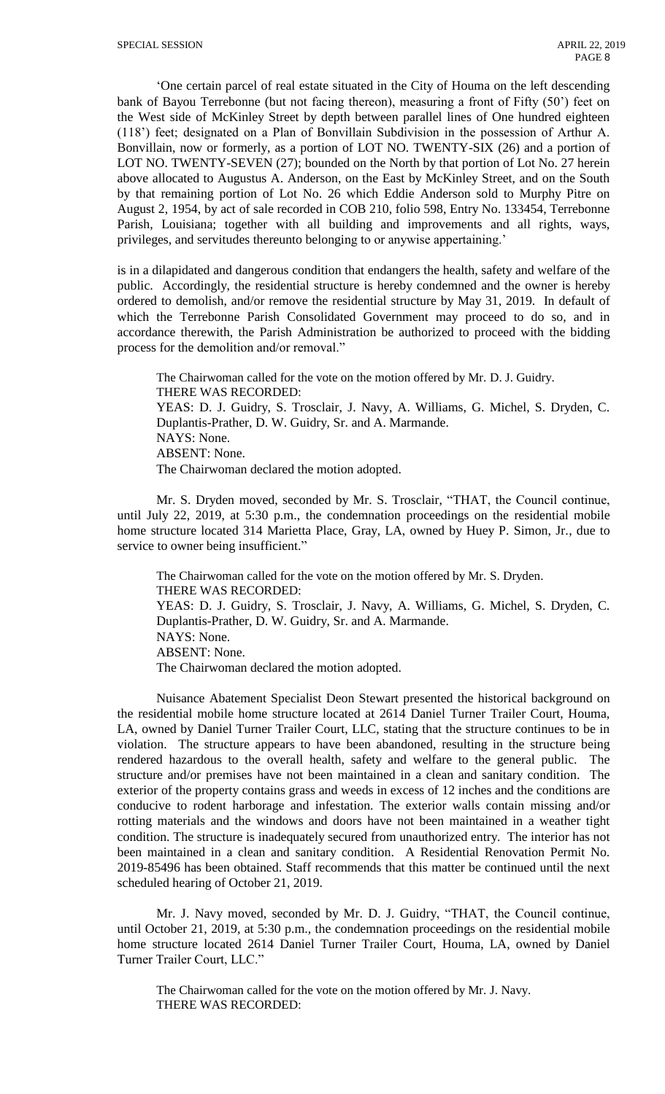'One certain parcel of real estate situated in the City of Houma on the left descending bank of Bayou Terrebonne (but not facing thereon), measuring a front of Fifty (50') feet on the West side of McKinley Street by depth between parallel lines of One hundred eighteen (118') feet; designated on a Plan of Bonvillain Subdivision in the possession of Arthur A. Bonvillain, now or formerly, as a portion of LOT NO. TWENTY-SIX (26) and a portion of LOT NO. TWENTY-SEVEN (27); bounded on the North by that portion of Lot No. 27 herein above allocated to Augustus A. Anderson, on the East by McKinley Street, and on the South by that remaining portion of Lot No. 26 which Eddie Anderson sold to Murphy Pitre on August 2, 1954, by act of sale recorded in COB 210, folio 598, Entry No. 133454, Terrebonne Parish, Louisiana; together with all building and improvements and all rights, ways, privileges, and servitudes thereunto belonging to or anywise appertaining.'

is in a dilapidated and dangerous condition that endangers the health, safety and welfare of the public. Accordingly, the residential structure is hereby condemned and the owner is hereby ordered to demolish, and/or remove the residential structure by May 31, 2019. In default of which the Terrebonne Parish Consolidated Government may proceed to do so, and in accordance therewith, the Parish Administration be authorized to proceed with the bidding process for the demolition and/or removal."

The Chairwoman called for the vote on the motion offered by Mr. D. J. Guidry. THERE WAS RECORDED: YEAS: D. J. Guidry, S. Trosclair, J. Navy, A. Williams, G. Michel, S. Dryden, C. Duplantis-Prather, D. W. Guidry, Sr. and A. Marmande. NAYS: None. ABSENT: None. The Chairwoman declared the motion adopted.

Mr. S. Dryden moved, seconded by Mr. S. Trosclair, "THAT, the Council continue, until July 22, 2019, at 5:30 p.m., the condemnation proceedings on the residential mobile home structure located 314 Marietta Place, Gray, LA, owned by Huey P. Simon, Jr., due to service to owner being insufficient."

The Chairwoman called for the vote on the motion offered by Mr. S. Dryden. THERE WAS RECORDED: YEAS: D. J. Guidry, S. Trosclair, J. Navy, A. Williams, G. Michel, S. Dryden, C. Duplantis-Prather, D. W. Guidry, Sr. and A. Marmande. NAYS: None. ABSENT: None. The Chairwoman declared the motion adopted.

Nuisance Abatement Specialist Deon Stewart presented the historical background on the residential mobile home structure located at 2614 Daniel Turner Trailer Court, Houma, LA, owned by Daniel Turner Trailer Court, LLC, stating that the structure continues to be in violation. The structure appears to have been abandoned, resulting in the structure being rendered hazardous to the overall health, safety and welfare to the general public. The structure and/or premises have not been maintained in a clean and sanitary condition. The exterior of the property contains grass and weeds in excess of 12 inches and the conditions are conducive to rodent harborage and infestation. The exterior walls contain missing and/or rotting materials and the windows and doors have not been maintained in a weather tight condition. The structure is inadequately secured from unauthorized entry. The interior has not been maintained in a clean and sanitary condition. A Residential Renovation Permit No. 2019-85496 has been obtained. Staff recommends that this matter be continued until the next scheduled hearing of October 21, 2019.

Mr. J. Navy moved, seconded by Mr. D. J. Guidry, "THAT, the Council continue, until October 21, 2019, at 5:30 p.m., the condemnation proceedings on the residential mobile home structure located 2614 Daniel Turner Trailer Court, Houma, LA, owned by Daniel Turner Trailer Court, LLC."

The Chairwoman called for the vote on the motion offered by Mr. J. Navy. THERE WAS RECORDED: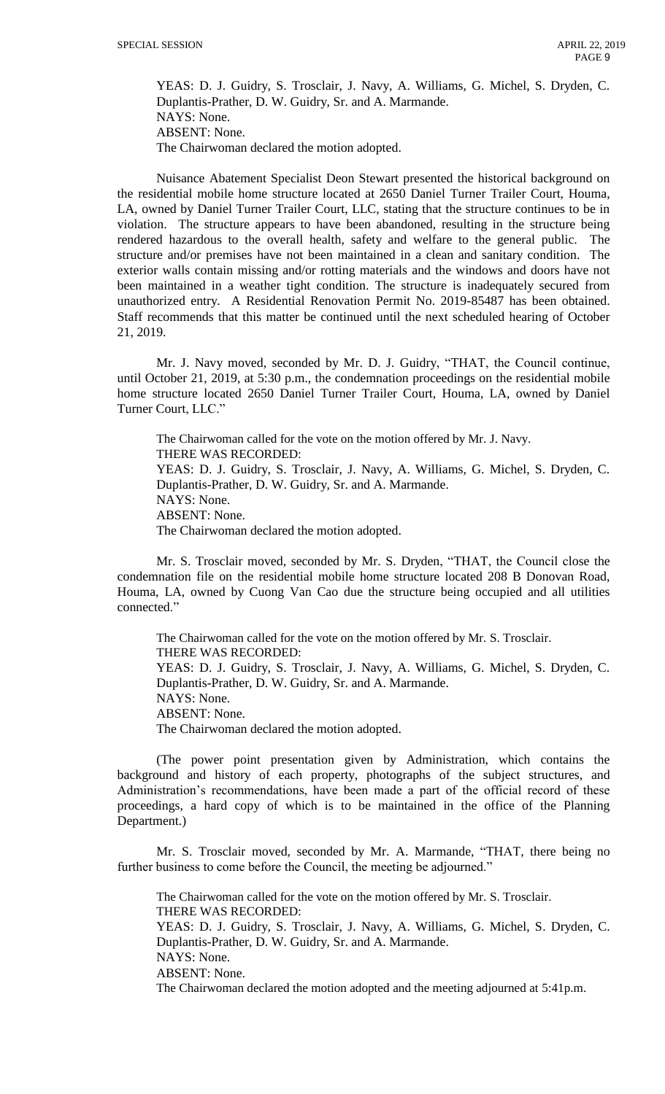YEAS: D. J. Guidry, S. Trosclair, J. Navy, A. Williams, G. Michel, S. Dryden, C. Duplantis-Prather, D. W. Guidry, Sr. and A. Marmande. NAYS: None. ABSENT: None. The Chairwoman declared the motion adopted.

Nuisance Abatement Specialist Deon Stewart presented the historical background on the residential mobile home structure located at 2650 Daniel Turner Trailer Court, Houma, LA, owned by Daniel Turner Trailer Court, LLC, stating that the structure continues to be in violation. The structure appears to have been abandoned, resulting in the structure being rendered hazardous to the overall health, safety and welfare to the general public. The structure and/or premises have not been maintained in a clean and sanitary condition. The exterior walls contain missing and/or rotting materials and the windows and doors have not been maintained in a weather tight condition. The structure is inadequately secured from unauthorized entry. A Residential Renovation Permit No. 2019-85487 has been obtained. Staff recommends that this matter be continued until the next scheduled hearing of October 21, 2019.

Mr. J. Navy moved, seconded by Mr. D. J. Guidry, "THAT, the Council continue, until October 21, 2019, at 5:30 p.m., the condemnation proceedings on the residential mobile home structure located 2650 Daniel Turner Trailer Court, Houma, LA, owned by Daniel Turner Court, LLC."

The Chairwoman called for the vote on the motion offered by Mr. J. Navy. THERE WAS RECORDED: YEAS: D. J. Guidry, S. Trosclair, J. Navy, A. Williams, G. Michel, S. Dryden, C. Duplantis-Prather, D. W. Guidry, Sr. and A. Marmande. NAYS: None. ABSENT: None. The Chairwoman declared the motion adopted.

Mr. S. Trosclair moved, seconded by Mr. S. Dryden, "THAT, the Council close the condemnation file on the residential mobile home structure located 208 B Donovan Road, Houma, LA, owned by Cuong Van Cao due the structure being occupied and all utilities connected."

The Chairwoman called for the vote on the motion offered by Mr. S. Trosclair. THERE WAS RECORDED: YEAS: D. J. Guidry, S. Trosclair, J. Navy, A. Williams, G. Michel, S. Dryden, C. Duplantis-Prather, D. W. Guidry, Sr. and A. Marmande. NAYS: None. ABSENT: None. The Chairwoman declared the motion adopted.

(The power point presentation given by Administration, which contains the background and history of each property, photographs of the subject structures, and Administration's recommendations, have been made a part of the official record of these proceedings, a hard copy of which is to be maintained in the office of the Planning Department.)

Mr. S. Trosclair moved, seconded by Mr. A. Marmande, "THAT, there being no further business to come before the Council, the meeting be adjourned."

The Chairwoman called for the vote on the motion offered by Mr. S. Trosclair. THERE WAS RECORDED:

YEAS: D. J. Guidry, S. Trosclair, J. Navy, A. Williams, G. Michel, S. Dryden, C. Duplantis-Prather, D. W. Guidry, Sr. and A. Marmande. NAYS: None.

ABSENT: None.

The Chairwoman declared the motion adopted and the meeting adjourned at 5:41p.m.